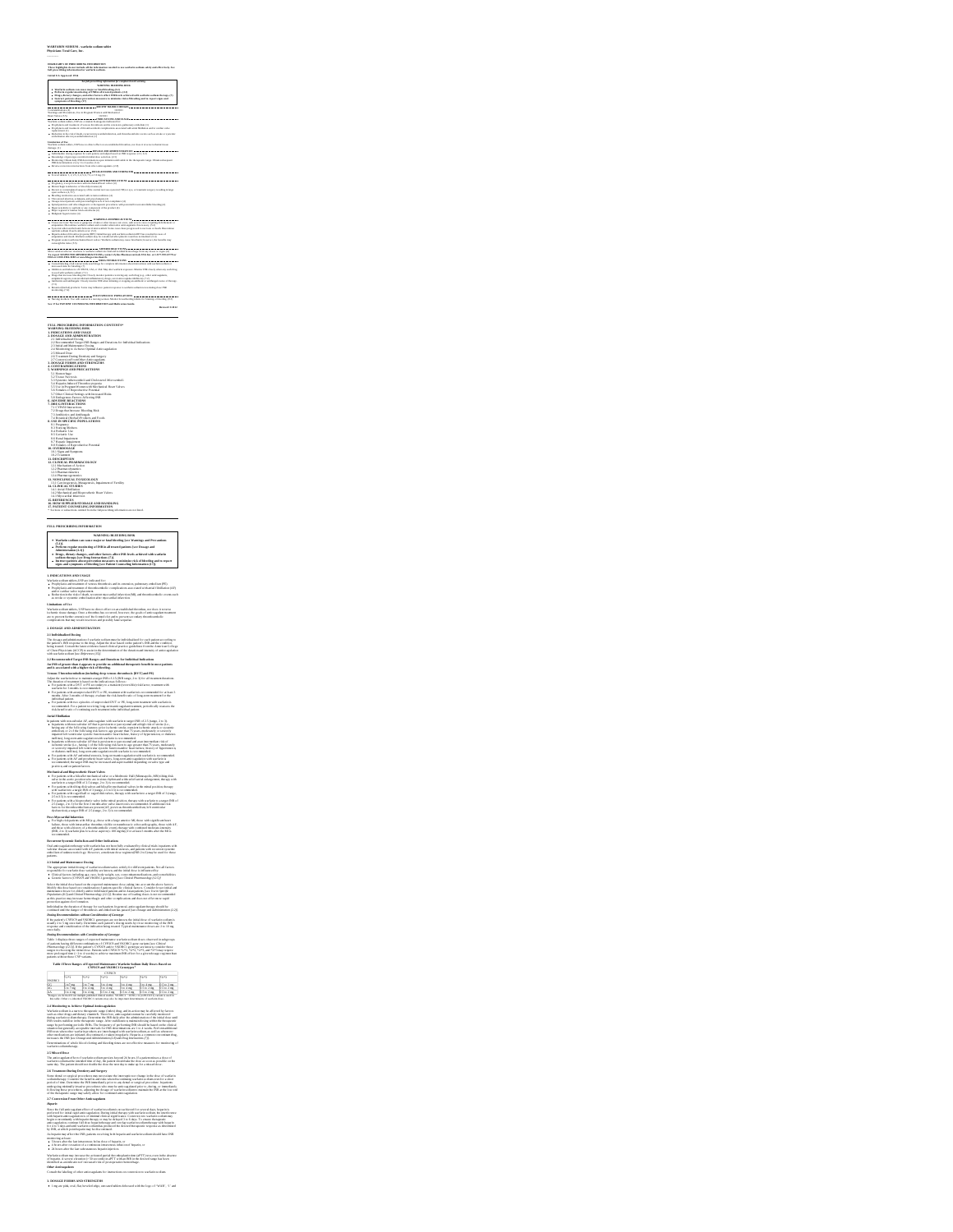## **3. DOSAGE FORMS AND STRENGTHS** 1 mg are pink, oval, flat, beveled edge, uncoated tablets debossed with the logo of'WAR', '1' and

Vestricis codium nuy increase de activated partial thrombophoris fare (dFTT) service even in the absence<br>of beparis. A severe elevation (> 50 seconds) in aPTT with an INR in the desired range has been<br>theurified as animati

Hopping a particular control of the state of the state of the state of the state of the state of the state of the state of the state of the state of the state of the state of the state of the state of the state of the sta

## 25 Marcal Davis (Prox) et traiter and may person by the party of the state of the state state and the state of<br>The state of the state of the state of the state of the state of the state of the state state of the state of<br>

**2.4 Monitoring to Achieve Optimal Anticoagulation** Next from column to a merom decrease components and the action of the activity of the column of the state of the state of the state of the state of the state of the state of the state of the state of the state of the stat

Ranges are derived from multiple published clinical studies. VKORC1 −1639G>A (rs9923231) variant is used in<br>this table. Other co-inherited VKORC1 variants may also be important determinants of warfarin dose. CYP2C9 VKORC1 \*1/\*1 \*1/\*2 \*1/\*3 \*2/\*2 \*2/\*3 \*3/\*3 GG 5 to7 mg 5 to 7 mg 3 to 4 mg 3 to 4 mg 3 to 4 mg 0.5 to 2 mg AG 5 to 7 mg 3 to 4 mg 3 to 4 mg 3 to 4 mg 0.5 to 2 mg 0.5 to 2 mg AA 3 to 4 mg 3 to 4 mg 0.5 to 2 mg 0.5 to 2 mg 0.5 to 2 mg 0.5 to 2 mg

The experimental developed to the state of the state of the state of the state of the state of the state of the state of the state of the state of the state of the state of the state of the state of the state of the state

Becauvent Systemetic Embedien must Other Indications<br>Crait anticongenission from the Section Annual Control of the Section of the Critical State is patients with<br>substituted to an accommodynamic state of the Section Sectio embolism of unknown etiology. However, a moderate dose regimen (INR 2 to3) may be used for these

We haded and interpretent for the meV halo<br>we can be absorbed and the property of the simulation of the simulation<br>of the simulation of the simulation of the simulation of the simulation<br>of the simulation of the simulatio Paus-Mayarardkal Malarolina<br>
19 - To high-risk patients with MI (e.g., these with a large attention MI, those with significant beam<br>
takine, these with a binarcardiac throubas violible on transference rechnocateligraphy,

By<br>a propose with monotonical  $M$ , and consider the variation<br>is transported as the following function  $\beta$ <br>and the set of the set of the set of the set of the set of the set of<br> $M$  and  $M$  and  $M$  and<br> $M$  and  $M$  and  $M$ 

ischemic tissue damage. Once a thrombus has occurred, however, the goals of anticoagulant treatment are to prevent further extension ofthe formed clot and to prevent secondary thromboembolic complications that may result in serious and possibly fatal sequelae. **2. DOSAGE AND ADMINISTRATION 2.1 Individualized Dosing** The dosage and administration ofwarfarin sodium must be individualized for each patient according to the patient's INR response to the drug. Adjust the dose based on the patient's INR andthe condition being treated. Consult the latest evidence-based clinical practice guidelines from the American College of Chest Physicians (ACCP) to assist in the determination ofthe duration and intensity ofanticoagulation with warfarin sodium [see *References (15)].* **2.2 Recommended Target INR Ranges and Durations for Individual Indications An INR of greater than 4 appears to provide no additional therapeutic benefit in most patients and isassociated with a higher risk ofbleeding. Venous Thromboembolism (including deep venous thrombosis [DVT] and PE)** Adjust the warfarin dose to maintain a target INR of 2.5 (INR range, 2 to 3)for all treatment durations. The duration oftreatment is based on the indication asfollows: For patients with aDVT or PE secondary to atransient (reversible) risk factor, treatment with warfarin for 3 months is recommended. For patients with an unprovoked DVT or PE, treatment with warfarin is recommended for at least 3 months. After 3 months of therapy, evaluate the risk-benefit ratio oflong-term treatment for the individual patient. For patients with two episodes of unprovoked DVT or PE,long-term treatment with warfarin is recommended. For a patient receiving long-term anticoagulant treatment, periodically reassess the risk-benefit ratio ofcontinuing such treatment in the individual patient. **Atrial Fibrillation**

WIT WEIGHTEN INFORMATION . We also the state of the state of the state of the state of the state of the state of the state of the state of the state of the state of the state of the state of the state of the state of the

 $\begin{minipage}[t]{0.00\textwidth} \begin{tabular}{|c|c|c|c|} \hline \textbf{0.000\textwidth} & \textbf{0.000\textwidth} & \textbf{0.000\textwidth} & \textbf{0.000\textwidth} & \textbf{0.000\textwidth} & \textbf{0.000\textwidth} & \textbf{0.000\textwidth} & \textbf{0.000\textwidth} & \textbf{0.000\textwidth} & \textbf{0.000\textwidth} & \textbf{0.000\textwidth} & \textbf{0.000\textwidth} & \textbf{0.000\textwidth} & \text$ 

To expect USECTE DANNER SURGE (1970), we prior in Fights Planners which WA has at 1477-853 EP7<br>1985 - Hall H. W. (1970), the state of the state of the control of the state of the state of the state of the<br>1986 - English p Botanical (herbal) products: Some may influence patient response to warfarin sodium necessitating close INR **USE IN SPECIFIC POPULATIONS** Nursing mothers: Use with caution in anursing woman. Monitor breastfeeding infants for bruising orbleeding. (8.3) **See 17 for PATIENT COUNSELING INFORMATION and Medication Guide. Revised: 3/2012**

Scored tablets: 1, 2, 2.5, 3, 4, 5, 6, 7.5, or 10 mg (3)**CONTRAINDICATIONS** Pregnancy, except in women with mechanical heart valves (4) Hemorrhagic tendencies or blood dyscrasias (4) Recent or contemplated surgery ofthe central nervous system (CNS) or eye, or traumatic surgery resulting in large open surfaces (4, 5.7) llbredag tradescher accordinel skriverinist multiins (i)<br>Thomárusel dissima, exhaupin, and provedampia (ii)<br>Thomárusel dissima, voltag poincialishigh berita of mus compliance (ii)<br>Republicanisticity is sun form disposain a Майдант Здеснитали (1930)<br>1930 — Верний Германии, русский принципский принципский принципский политический принципский принципский принц<br>1930 — Верний Германии, русский принципский принципский принципский принципский прин

communications and continued to the basic and the Carl Carl Corporation and the communication of the Carl Corp<br>The communication of the Carl Carl Corporation and the Carl Carl Corporation and the Carl Carl Carl Carl Corp<br>T

Constantinum (4)<br>19 mai: Maria Baratti (n. 1838)<br>19 mai: Ann II Person (n. 1838)<br>19 mai: Ann II Person (n. 1844)<br>19 mai: Ann II Person (n. 1838)<br>19 mai: Annie Maria II, ann an t-Indian (n. 1845)<br>18 mai: Ann II Person (n. 1 Prophylank and resiment utiliterationschok complications associated with attal distilation and to surface valve<br>Redaction in the visital death, recovered myosandialisticosius, and devochosmbolic reveals such as steake as s **Limitation of Use** damage. (1) Visteine solden tidsbe, USP hav av diens elleri av av rudskåed iheadras, av dans är eronor indensis tinue<br>Kanage (U)<br>19. marrier – Anna Maria (Santa Maria (Santa) 2008, ASBA SER (SANTA 1998)<br>19. marrier – Anna Maria (Santa INR determinations every 1 to 4 weeks. (2.4) Review conversion instructions from other anticoagulants. (2.8) **DOSAGE FORMS AND STRENGTHS**

Norforte collecte con cance angles articles (develor); [133]<br>Perform cognitor monitoring of 1380 in all revoluti patients (23)<br>Destruct material about 14 controllers monitoring and the collected with a state and in commitm **symptoms of bleeding. (17)**

ntemi acarts cor punscumussi; introductricis<br>These highlights do sus include all the information needed to use workets vedium valsty and ellectively. See<br>full neew ribine information for workets volkom. **Initial U.S. Approval: 1954** *See full prescribing information for complete boxed warning.* **WARNING: BLEEDING RISK**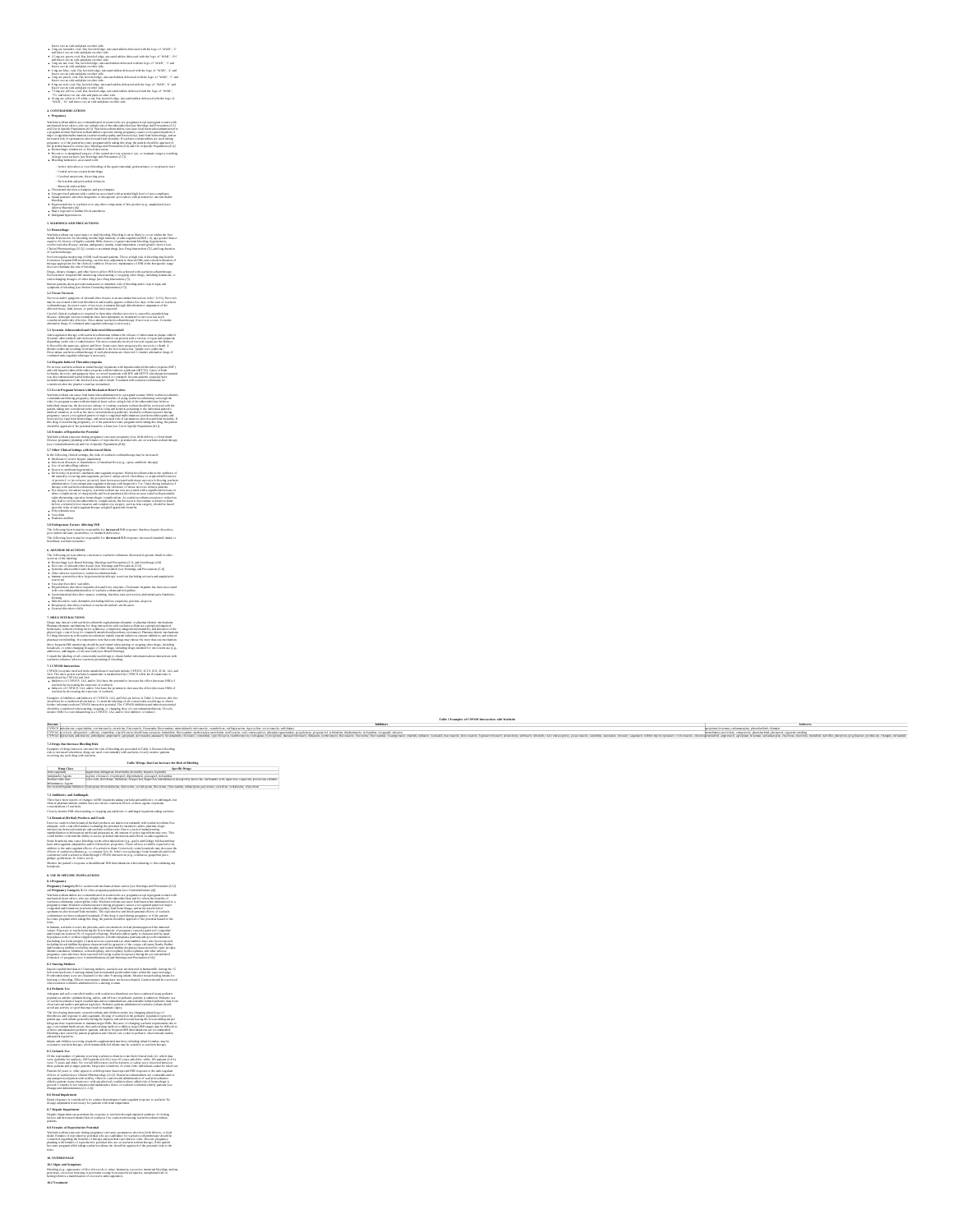# $\begin{split} &\frac{1}{2\pi}\sum_{n=0}^{\infty}\frac{1}{n!}\sum_{n=0}^{\infty}\frac{1}{n!}\sum_{n=0}^{\infty}\frac{1}{n!}\sum_{n=0}^{\infty}\frac{1}{n!}\sum_{n=0}^{\infty}\frac{1}{n!}\sum_{n=0}^{\infty}\frac{1}{n!}\sum_{n=0}^{\infty}\frac{1}{n!}\sum_{n=0}^{\infty}\frac{1}{n!}\sum_{n=0}^{\infty}\frac{1}{n!}\sum_{n=0}^{\infty}\frac{1}{n!}\sum_{n=0}^{\infty}\frac{1}{n!}\sum_{n=0}^$

10 mg are white to off white, oval, flat, beveled edge, uncoated tablets debossed with the logo of **4. CONTRAINDICATIONS Pregnancy** Warfarin sodium tabletsare contraindicated in women who are pregnant except in pregnant women with mechanical heart valves, who are athigh risk ofthromboembolism [*see Warnings and Precautions (5.5) and Use in Specific Populations (8.1)].* Warfarin sodium tabletscan cause fetal harm when administered to <sup>a</sup> pregnant woman. Warfarin sodium tabletsexposure during pregnancy causes <sup>a</sup> recognized pattern ofmajor congenital malformations (warfarin embryopathy and fetotoxicity), fatal fetal hemorrhage, and an increased risk of spontaneous abortion and fetal mortality. If warfarin sodium tabletsare used during pregnancy or if the patient becomes pregnant while taking this drug, the patient should be apprised of the potential hazard to a fetus [see *Warnings and Precautions (5.6)* and *Use in Specific Populations (8.1)].* Hemorrhagic tendencies or blood dyscrasias Recent or contemplated surgery ofthe central nervous system or eye, or traumatic surgery resulting in large open surfaces [*see Warnings and Precautions (5.7)]* Bleeding tendencies associated with: − Active ulceration orovert bleeding ofthe gastrointestinal, genitourinary, or respiratory tract − Central nervous system hemorrhage − Cerebral aneurysms, dissecting aorta − Pericarditis and pericardial effusions − Bacterial endocarditis Threatened abortion, eclampsia, and preeclampsia Unsupervised patients with conditions associated with potential high level of non-compliance Spinal puncture and other diagnostic ortherapeutic procedures with potential for uncontrollable bleeding Hypersensitivity to warfarin orto any other components of this product (e.g., anaphylaxis) [see *Adverse Reactions (6)]* Major regional or lumbar block anesthesia Malignant hypertension **5. WARNINGS AND PRECAUTIONS 5.1 Hemorrhage** Warfarin sodium can cause major or fatal bleeding. Bleeding is more likely to occur within the first month. Risk factors for bleeding include high intensity ofanticoagulation (INR >4), age greater than orequal to 65, history ofhighly variable INRs, history ofgastrointestinal bleeding, hypertension, cerebrovascular disease, anemia, malignancy, trauma, renal impairment, certain genetic factors [see *Clinical Pharmacology (12.5)],* certain concomitant drugs [see *Drug Interactions (7)],* and long duration of warfarin therapy. Perform regularmonitoring ofINR inall treated patients. Those athigh risk ofbleeding may benefit from morefrequent INR monitoring, careful dose adjustment to desired INR, and a shortest duration of therapy appropriate for the clinical condition. However, maintenance of INR inthe therapeutic range does not eliminate the risk ofbleeding. Drugs, dietary changes, and other factors affect INR levels achieved with warfarin sodium therapy. Perform morefrequent INR monitoring when starting orstopping other drugs, including botanicals, or when changing dosages of other drugs [see *Drug Interactions (7)].* Instruct patients about prevention measures to minimize risk ofbleeding and to report signs and symptoms of bleeding [see *Patient Counseling Information (17)].* **5.2 Tissue Necrosis** Necrosis and/or gangrene of skin and other tissues is an uncommon but serious risk (< 0.1%). Necrosis may be associated with local thrombosis and usually appears within afew days of the start of warfarin

sodium therapy.In severe cases of necrosis, treatment through debridement or amputation of the affected tissue, limb, breast, or penis has been reported. Careful clinical evaluation isrequired to determine whether necrosis is caused by an underlying disease. Although various treatments have been attempted, no treatment for necrosis has been considered uniformly effective. Discontinue warfarin sodium therapy if necrosis occurs. Consider alternative drugs if continued anticoagulation therapy is necessary. **5.3 Systemic Atheroemboli and Cholesterol Microemboli** Anticoagulation therapy with warfarin sodium mayenhance the release of atheromatous plaque emboli. Systemic atheroemboli and cholesterol microemboli can present with a variety ofsigns and symptoms depending on the site of embolization. The most commonly involved visceral organs are the kidneys followed by the pancreas, spleen, and liver. Some cases have progressed to necrosis or death. A distinct syndrome resulting from microemboli to the feet is known as"purple toes syndrome." Discontinue warfarin sodium therapy ifsuch phenomena are observed. Consider alternative drugs if continued anticoagulation therapy is necessary. **5.4 Heparin-Induced Thrombocytopenia** Do notuse warfarin sodium as initialtherapy in patients with heparin-induced thrombocytopenia (HIT) and with heparin-induced thrombocytopenia with thrombosis syndrome (HITTS). Cases of limb ischemia, necrosis, and gangrene have occurred in patients with HIT and HITTS when heparin treatment was discontinued and warfarin therapy was started orcontinued. In some patients, sequelae have included amputation ofthe involved area and/or death. Treatment with warfarin sodium maybe considered after the platelet count has normalized. **5.5 Us e in Pregnant Women with Mechanical Heart Valves** Warfarin sodium can cause fetal harm when administered to a pregnant woman. While warfarin sodium is contraindicated during pregnancy, the potential benefits of using warfarin sodium may outweigh the risks for pregnant women with mechanical heart valves athigh risk ofthromboembolism. In those individual situations, the decision to initiate orcontinue warfarin sodium should be reviewed with the patient, taking into consideration the specific risks and benefits pertaining to the individual patient's medical situation, as well as the most current medical guidelines. Warfarin sodium exposure during pregnancy causes a recognized pattern ofmajor congenital malformations (warfarin embryopathy and fetotoxicity), fatal fetal hemorrhage, and an increased risk ofspontaneous abortion and fetal mortality. If this drug is used during pregnancy, or if the patient becomes pregnant while taking this drug, the patient should be apprised ofthe potential hazard to a fetus [see *Use in Specific Populations (8.1)].* **5.6 Females of Reproductive Potential**

Warfarin sodium exposure during pregnancy can cause pregnancy loss, birth defects, or fetal death.<br>Discuss pregnancy planning with fetales of reproductive potential who are on warfarin sodium therapy<br>Jure *Contraindication* 

 $\begin{minipage}[t]{0.03\textwidth} \begin{minipage}[t]{0.03\textwidth} \begin{minipage}[t]{0.03\textwidth} \begin{minipage}[t]{0.03\textwidth} \begin{minipage}[t]{0.03\textwidth} \begin{minipage}[t]{0.03\textwidth} \begin{minipage}[t]{0.03\textwidth} \begin{minipage}[t]{0.03\textwidth} \begin{minipage}[t]{0.03\textwidth} \begin{minipage}[t]{0.03\textwidth} \begin{minipage}[t]{0.03\textwidth} \begin{minipage}[t]{0.03\textwidth} \begin{minipage}[t]{0.03\textwidth$ 

gare interesting that possible to contact the contact determines the contact term of the contact the contact of<br>the contact of the contact of the contact of the contact of the contact of<br>the contact of the contact of the

Skin disorders: rash, dermatitis (including bullous eruptions), pruritus, alopecia<br>Respiratory disorders: chills<br>General disorders: chills

**7. DRUG INTERACTIONS**<br>**7. DRUG INTERACTIONS**<br>Drugs may invest that the surfacts such another angle pharmac of quantic as pharmac objects on chancions.<br>**Pharmacon/youtic succhanties** to change interactions with war

 $\begin{split} &\frac{1}{2}\sum_{n=0}^{\infty}\frac{1}{n!}\sum_{n=0}^{\infty}\frac{1}{n!}\sum_{n=0}^{\infty}\frac{1}{n!}\sum_{n=0}^{\infty}\frac{1}{n!}\sum_{n=0}^{\infty}\frac{1}{n!}\sum_{n=0}^{\infty}\frac{1}{n!}\sum_{n=0}^{\infty}\frac{1}{n!}\sum_{n=0}^{\infty}\frac{1}{n!}\sum_{n=0}^{\infty}\frac{1}{n!}\sum_{n=0}^{\infty}\frac{1}{n!}\sum_{n=0}^{\infty}\frac{1}{n!}\sum_{n=0}^{\in$ 

**Enzyme Inhibitors Inducers** CYP2C9 amiodarone, capecitabine, cotrimoxazole, etravirine, fluconazole, fluvastatin, fluvoxamine, metronidazole miconazole, oxandrolone, sulfinpyrazone, tigecycline, voriconazole, zafirlukast aprepitant, bosentan, carbamazepine, phenobarbital, rifampin CYP1A2 acyclovir, allopurinol, caffeine, cimetidine, ciprofloxacin, disulfiram, enoxacin, famotidine, fluvoxamine, methoxsalen, mexiletine, norfloxacin, oral contraceptives, phenylpropanolamine, propafenone, propranolol, terbinafine, thiabendazole, ticlopidine, verapamil, zileuton montelukast, moricizine, omeprazole, phenobarbital, phenytoin, cigarette smoking CYP3A4 alprazolam, amiodarone, amlodipine, amprenavir, aprepitant, atorvastatin, atazanavir, bicalutamide, cilostazol, cimetidine, ciprofloxacin, clarithromycin, conivaptan, cyclosporine, darunavir/ritonavir, diltiazem, erythromycin, fluconazole, fluoxetine, fluvoxamine, fosamprenavir, imatinib, indinavir, isoniazid, itraconazole, ketoconazole, lopinavir/ritonavir, nefazodone, nelfinavir, nilotinib, oral contraceptives, posaconazole, ranitidine, ranolazine, ritonavir, saquinavir, telithromycin, tipranavir, voriconazole, zileutonarmodafinil, amprenavir, aprepitant, bosentan, carbamazepine, efavirenz, etravirine, modafinil, nafcillin, phenytoin, pioglitazone, prednisone, rifampin, rufinamide **7.2 Drugs that Increas e Bleeding Risk**

Examples of drugs known to increase the risk of bleeding are pressured in Table 3. Because bleeding<br>risk is increased when these drugs are used concominatly with warfarin, closely mosinor parients<br>receiving any such drug w

**Table 3Drugs that Can Increas e the Risk of Bleeding Drug Class Specific Drugs** Anticoagulants argatroban, dabigatran, bivalirudin, desirudin, heparin, lepirudin Antiplatelet Agents aspirin, cilostazol, clopidogrel, dipyridamole, prasugrel, ticlopidine Nonsteroidal Anti-Inflammatory Agents celecoxib, diclofenac, diflunisal, fenoprofen, ibuprofen, indomethacin, ketoprofen, ketorolac, mefenamic acid, naproxen, oxaprozin, piroxicam, sulindac Serotonin Reuptake Inhibitors citalopram, desvenlafaxine, duloxetine, escitalopram, fluoxetine, fluvoxamine, milnacipran, paroxetine, sertraline, venlafaxine, vilazodone **7.3 Antibiotics and Antifungals** There have been reports of changes in INR in patients taking warfarin and antibiotics or antifungals, but clinical pharmacokinetic studies have notshown consistent effects of these agents on plasma concentrations of warfarin. Closely monitor INR when starting orstopping any antibiotic orantifungal in patients taking warfarin. **7.4 Botanical (Herbal) Products and Foods** Exercise caution when botanical (herbal) products are taken concomitantly with warfarin sodium. Few adequate, well-controlled studies evaluating the potential for metabolic and/or pharmacologic interactions between botanicals and warfarin sodium exist. Due to a lack ofmanufacturing standardization with botanical medicinal preparations, the amount of active ingredients may vary. This could further confound the ability to assess potential interactions and effects on anticoagulation. Some botanicals may cause bleeding events when taken alone (e.g., garlic and Ginkgo biloba) and may have anticoagulant, antiplatelet, and/or fibrinolytic properties. These effects would be expected to be additive to the anticoagulant effects of warfarin sodium. Conversely, some botanicals may decrease the effects of warfarin sodium (e.g., co-enzyme Q , St. John's wort ginseng). Some botanicals and foods can interact with warfarin sodium through CYP450 interactions (e.g., echinacea, grapefruit juice, ginkgo, goldenseal, St. John's wort). Monitor the patient's response with additional INR determinations when initiating ordiscontinuing any botanicals. **8. USE IN SPECIFIC POPULATIONS 8.1 Pregnancy**

 $\overline{\phantom{0}}$ 

**Pregnancy Category D** for women with mechanical heart valves [see *Warnings and Precautions (5.5)]* and **Pregnancy Category X** for other pregnant populations [see *Contraindications (4)].* Warfarin sodium tabletsare contraindicated in women who are pregnant except in pregnant women with mechanical heart valves, who are athigh risk ofthromboembolism, and forwhom the benefits of warfarin sodium mayoutweigh the risks. Warfarin sodium can cause fetal harm when administered to a pregnant woman. Warfarin sodium exposure during pregnancy causes a recognized pattern ofmajor congenital malformations (warfarin embryopathy), fetal hemorrhage, and an increased risk ofspontaneous abortion and fetal mortality. The reproductive and developmental effects of warfarin sodium have notbeen evaluated in animals. If this drug is used during pregnancy orif the patient becomes pregnant while taking this drug, the patient should be apprised ofthe potential hazard to the fetus. In humans, warfarin crosses the placenta, and concentrations in fetal plasma approach the maternal values. Exposure to warfarin during the first trimester of pregnancy caused a pattern ofcongenital malformations in about 5% of exposed offspring. Warfarin embryopathy ischaracterized by nasal hypoplasia with orwithout stippled epiphyses (chondrodysplasia punctata) and growth retardation (including low birth weight). Central nervous system and eye abnormalities have also been reported, including dorsal midline dysplasia characterized by agenesis of the corpus callosum, Dandy-Walker malformation, midline cerebellar atrophy, and ventral midline dysplasia characterized by optic atrophy. Mental retardation, blindness, schizencephaly, microcephaly, hydrocephalus, and other adverse trimesters of pregnancy [see *Contraindications (4)* and *Warnings and Precautions (5.6)].* **8.3 Nursing Mothers**

pregnancy outcomes have been reported following warfarin exposure during the second and third

Based on published data in 15 nursing mothers, warfarin was not detected in human milk. Among the 15 full-term newborns, 6 nursing infants had documented prothrombin times within the expected range. Prothrombin times were not obtained for the other 9 nursing infants. Monitor breastfeeding infants for bruising orbleeding. Effects in premature infants have not been evaluated. Caution should be exercised when warfarin sodium is administered to a nursing woman. **8.4 Pediatric Us e** Adequate and well-controlled studies with warfarin sodium havenot been conducted in any pediatric population, and the optimum dosing, safety, and efficacy in pediatric patients is unknown. Pediatric use of warfarin sodium is based on adult data and recommendations, and available limited pediatric data from observational studies and patient registries. Pediatric patients administered warfarin sodium should avoid any activity orsport that may result in traumatic injury. The developing hemostatic system in infants and children results in a changing physiology of thrombosis and response to anticoagulants. Dosing ofwarfarin in the pediatric population varies by patient age, with infants generally having the highest, and adolescents having the lowest milligram per kilogram doserequirements to maintain target INRs. Because of changing warfarin requirements due to age, concomitant medications, diet, and existing medical condition, target INR ranges may be difficult to achieve and maintain in pediatric patients, and more frequent INR determinations are recommended. Bleeding rates varied by patient population and clinical care center in pediatric observational studies and patient registries. Infants and children receiving vitamin K-supplemented nutrition, including infant formulas, may be resistant to warfarin therapy, while human milk-fed infants may be sensitive to warfarin therapy. **8.5 Geriatric Us e** Of the total number of patients receiving warfarin sodium in controlled clinical trials for which data were available for analysis, 1885 patients (24.4%) were 65 years and older, while 185 patients (2.4%) were 75 years and older. No overall differences in effectiveness or safety were observed between these patients and younger patients, but greater sensitivity ofsome older individuals cannot be ruled out.Patients <sup>60</sup> years or older appear to exhibit greater than expected INR response to the anticoagulant effects of warfarin [see *Clinical Pharmacology (12.3)].* Warfarin sodium tabletsare contraindicated in any unsupervised patient with senility. Observe caution with administration of warfarin sodium to elderly patients in any situation orwith any physical condition where added risk of hemorrhage is present. Consider lower initiation and maintenance doses of warfarin sodium in elderly patients [see *Dosage and Administration (2.2,2.3)].* **8.6 Renal Impairment** Renal clearance is considered to be a minor determinant of anticoagulant response to warfarin. No dosage adjustment is necessary for patients with renal impairment. **8.7 Hepatic Impairment** Hepatic impairment can potentiate the response to warfarin through impaired synthesis of clotting

factors and decreased metabolism of warfarin. Use caution when using warfarin sodium in these patients.

RA Penades de Répubbaches Paraulial<br>Markaria codian especiare daring pregnancy can cause spontaneous abordon, birth defects, où final<br>dotta, Fernáncia françoidación pontulai vina are candidares for variation solution regul

**10. OVERDOSAGE**

**10.2 Treatment**

104. Niges and Symptems:<br>Hesoling (s.g., appearance of blood in crooks or urine, hemmaria, excessive meanwal bleeding, melema,<br>preschiae, excessive branking or persistent coasing from superficial injuries, amenjuined full

**Table 2 Examples of CYP450 Interactions with Warfarin**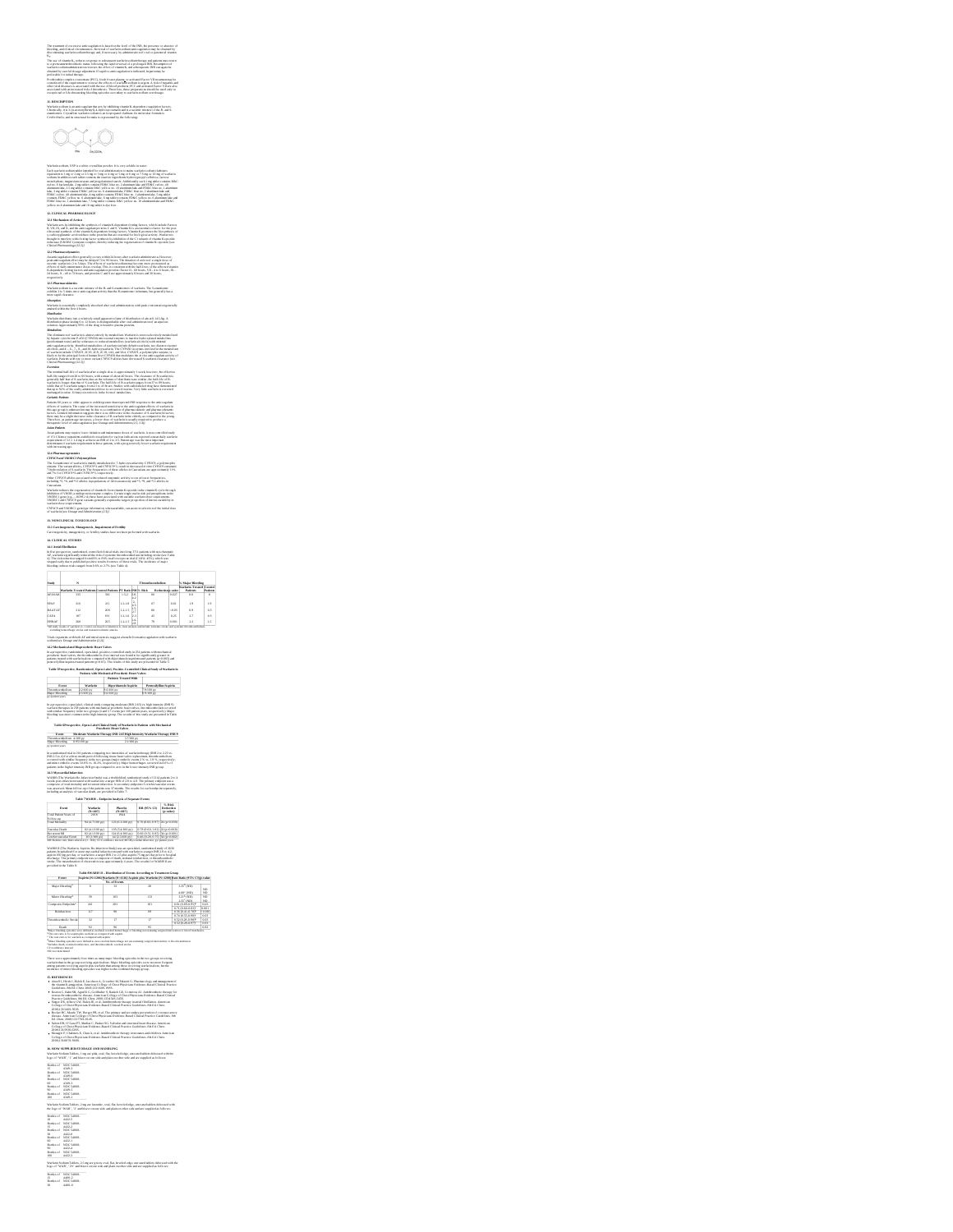| Stady         | $\boldsymbol{\kappa}$                      |      |            | Threshoemholen   | % Major Bleeding  |         |                                       |                 |
|---------------|--------------------------------------------|------|------------|------------------|-------------------|---------|---------------------------------------|-----------------|
|               | alustatio, Transat Burkara Control Putants |      |            | <b>GARGINERS</b> | Reduction a solve |         | Wednesda, Texased Control<br>Patients | Patients        |
| <b>AFASAK</b> | 225                                        | 336  | $1.5 - 2$  | 2.9              | $\omega$          | 0.027   | 0.6                                   |                 |
| SPAR          | 210                                        | 211  | $13 - 1.8$ | $\infty$         | 67                | 6.01    | 1.9                                   | $\overline{13}$ |
| BAATAF        | 212                                        | 208  | $12 - 1.5$ | i Se             | 66                | $-0.05$ | 0.9                                   | 0.5             |
| CAFA          | 697                                        | 99.1 | 12-16 2-1  |                  | ×.                | 0.25    | $^{27}$                               | 0.5             |
| SPINAF        | 360                                        | 36   | $12 - 1.5$ |                  | $\infty$          | 0.001   | $^{2.2}$                              | 1.5             |

Trick is positent with both of and risk category in particle formations<br>guident with excitation of the control of the control of the control of<br>the control of the control of the control of the control of the control of<br>th



|                  | <b>Marchan</b> |                                                                                                                                                                                                                                                                                                                                                                                                                               | <b>English Life Bone: All Color</b> |
|------------------|----------------|-------------------------------------------------------------------------------------------------------------------------------------------------------------------------------------------------------------------------------------------------------------------------------------------------------------------------------------------------------------------------------------------------------------------------------|-------------------------------------|
|                  | 2.2300 ps      | 4.6/200 or                                                                                                                                                                                                                                                                                                                                                                                                                    | 7.5h100 pm                          |
|                  | 15/100 pv      | 1.0/100 on                                                                                                                                                                                                                                                                                                                                                                                                                    | 0.9160 pv                           |
| pressions sears. |                |                                                                                                                                                                                                                                                                                                                                                                                                                               |                                     |
|                  |                | In a prospective, onen-label, clinical study comparing moderate (INR 2.65) vs. high intensity (INR 9)<br>sarfaria therasies in 250 patients with mechanical provincia bear valves, thromboenholismoccurred<br>with similar frequency in the two prouns (4 and 3.7 eyems per 100 patient years, respectively). Major<br>bleeding was more common in the bigh intensity group. The results of this study are presented in Table |                                     |
|                  |                | Total of Recommendates, Chemic Total of Chalcott Chemic of International In Registration of the Manufacture                                                                                                                                                                                                                                                                                                                   |                                     |

| c.                   |             | Table 6Pressective, Open-Label Clinical Study of Warfarin in Patients with Mechanical                                                                                                                                                                                                                                           |
|----------------------|-------------|---------------------------------------------------------------------------------------------------------------------------------------------------------------------------------------------------------------------------------------------------------------------------------------------------------------------------------|
|                      |             | Prasthetic Heart Values                                                                                                                                                                                                                                                                                                         |
| Expans               |             | Moderate Warfaris Therapy INR 2.65 High Japonsity Warfaris Therapy INR 9                                                                                                                                                                                                                                                        |
| Thromhoumholl        | Attribition | 3.3 Holds over                                                                                                                                                                                                                                                                                                                  |
| Major Edreding       | 8-95-100 m  | 3.5.500 m                                                                                                                                                                                                                                                                                                                       |
| <b>EUTRAINS SNAK</b> |             |                                                                                                                                                                                                                                                                                                                                 |
|                      |             | In a randomized trial in 210 notices: comparing two imperisies of warfaringherany (INR 2 to 2.25 ye.)<br>INR 2.5 to 4) for a three month period following tionae beart value replacement, throughoemholism<br>a consent of the chefter frequency both a co-second fundational dealer for consent 3.00 cm - 4.000 - consentents. |

|                                                                                                                                                                                                                                                                                                                                                                                                                                   |                                                     | <b>Bluesha</b> | RR (10% CI) Reduction |  |
|-----------------------------------------------------------------------------------------------------------------------------------------------------------------------------------------------------------------------------------------------------------------------------------------------------------------------------------------------------------------------------------------------------------------------------------|-----------------------------------------------------|----------------|-----------------------|--|
| including an ambysis of vascular death, are provided in Table 7:                                                                                                                                                                                                                                                                                                                                                                  | Table 7WARIS - Endnoist Analysis of Separate Events |                |                       |  |
| MARIS (The Warfaris Re-Infanction Study) was a doubleblied, randomized study of 1214 patients 2 to 6<br>seeks note-infarction reated with warfarin to a target INR of 2.8 to 4.8. The primary endocint was a<br>composite of total merality and recurrent infarction. A secondary endosing of cerebra sacular events.<br>seas assessed. Mean follow-up of the nations was 37 months. The results for each endonint senarately.    |                                                     |                |                       |  |
|                                                                                                                                                                                                                                                                                                                                                                                                                                   |                                                     |                |                       |  |
|                                                                                                                                                                                                                                                                                                                                                                                                                                   |                                                     |                |                       |  |
| NR 2.5 to 4) for a flere most period following force beat valve replacement thromboembolism<br>accurred with similar frequency in the two groups (major embolic eyems 2 % ys. 1.9 %, respectively.<br>and minor embolic events 10.0% yr. 10.2%, respectively). Major bemorrhages occurred in 6.6% of<br>agious in the higher intensity INR group compared to zero in the lower intensity INR group.<br>14.3 Myscardial Infarction |                                                     |                |                       |  |

| Warfarin<br>$(3 - 607)$ | <b>Placeba</b><br>$(8 - 607)$ | RR (95% CB)                    | (a-value)                                                                                                                                                                                                                                      |
|-------------------------|-------------------------------|--------------------------------|------------------------------------------------------------------------------------------------------------------------------------------------------------------------------------------------------------------------------------------------|
| 2018                    | 1944                          |                                |                                                                                                                                                                                                                                                |
| 94 (4.7/100 pv)         | 122 (6.3100 ps)               | 8.76 (0.60, 0.97) 24 (p=0.030) |                                                                                                                                                                                                                                                |
| 92141/003 ov            | 105.07.8.900                  | 0.78 (0.60. 1.02)              |                                                                                                                                                                                                                                                |
| 82 (4.1/100 pv)         | 124 (6.4100 ps)               | 0.66 (0.51, 0.85) 34 (p-0.001) |                                                                                                                                                                                                                                                |
|                         |                               |                                |                                                                                                                                                                                                                                                |
|                         |                               |                                |                                                                                                                                                                                                                                                |
|                         | <b>DO FRIDAY NO</b>           | 4412.3100 ps1                  | 0.46 (0.28, 0.75) 154 (p=0.002)<br>8-Relator (62) RBA reduction (1 - RR) (2) Confidence interval MI-Moocaelial infantion: revealing search<br>(ARIS II (The Warfarin, Aspirin, Re-Infarction Study) was an open-label, randomized endy of 3630 |

**Table 8WARIS II – Distribution of Events According to Treatment Group Event Aspirin (N=1206) Warfarin (N=1216) Aspirin plus Warfarin (N=1208) Rate Ratio (95% CI)** *p***-value No. of Events** ND 4.00 (ND) ND a bara a bara a bara a bara a bara a bara a bara a bara a bara a bara a bara a bara a bara a bara a bara a bar

| <b>KXPOL</b>                                    | ANCHO (2011-1208) |     | is Warland (Nº1288) Kale Kalm (NYS CRA-Value |                                              |                      |
|-------------------------------------------------|-------------------|-----|----------------------------------------------|----------------------------------------------|----------------------|
|                                                 |                   |     |                                              |                                              |                      |
| Major Bleeding*                                 |                   | ×   | $\mathcal{M}$                                | 3.32 (ND)                                    |                      |
|                                                 |                   |     |                                              | 4.00" (ND)                                   | ND<br>ND             |
| Minor Bleeding                                  | $^{20}$           | 103 | 122                                          | 321 <sup>6</sup> (ND)<br>$2.52^{\circ}$ (ND) | ND<br>ND             |
| Composite Enforcem <sup>ent</sup>               | 241               | 202 | 181                                          | 0.9110.05.053<br>0.71 (0.60-0.82)            | 10.02<br>0.001       |
| Reinfaccion                                     | $\overline{117}$  | w   | 69                                           | 0.56 (0.41-0.787)<br>0.74 (0.55-0.98)        | <b>CALLA</b><br>0.02 |
| Throughougholtic Smoke                          |                   | 12  | 47                                           | 0.5249.78-9-94<br>0.52 (0.28-0.97)           | 0.02<br>0.02         |
| Death                                           |                   |     |                                              |                                              | 10.97                |
| Matter literaling exposures were defined as non |                   |     | with the bluesting                           | caretal intercentage or blood transfection.  |                      |

| 3.1946                                                                                                                                                                                                        | LGGGGG GN=12060 Warlamm DN=12 |                 | al access come where the extense and t                                                                                                                                                                                                                                   | LITELI Kabr Kabu (35'h C.B.D-5'abr)    |                       |
|---------------------------------------------------------------------------------------------------------------------------------------------------------------------------------------------------------------|-------------------------------|-----------------|--------------------------------------------------------------------------------------------------------------------------------------------------------------------------------------------------------------------------------------------------------------------------|----------------------------------------|-----------------------|
|                                                                                                                                                                                                               |                               | No. of County   |                                                                                                                                                                                                                                                                          |                                        |                       |
| Major Bleeding*                                                                                                                                                                                               |                               | 20 <sub>2</sub> | $^{26}$                                                                                                                                                                                                                                                                  | 3.32 (ND)<br>A 645 (ND)                | ND<br>so.             |
| Minor Bleeding                                                                                                                                                                                                | $^{20}$                       | 103             | 122                                                                                                                                                                                                                                                                      | 322 (ND)<br>$2.52^{\circ}$ (ND)        | ND<br>ND <sub>1</sub> |
| Composite Enforcem <sup>*</sup>                                                                                                                                                                               | 241                           | 203             | 181                                                                                                                                                                                                                                                                      | 0.91/0.05/05P<br>0.7110.65.0.935       | 10.02<br>0.001        |
| <b>Quinfavvina</b>                                                                                                                                                                                            | $\overline{117}$              | $4$             | ca                                                                                                                                                                                                                                                                       | 0.5610.41-0.787<br>a transformance     | <b>CAM</b><br>0.02    |
| Threedcoubolic Strele                                                                                                                                                                                         |                               | 12              |                                                                                                                                                                                                                                                                          | 0.5245 39-5 947<br>10/27/03 745-010 TW | Theo.<br>10.02        |
| Death                                                                                                                                                                                                         | $\overline{\phantom{a}}$      |                 |                                                                                                                                                                                                                                                                          |                                        | 10.97                 |
| The rate rate is for assists she was fasts as compared with assists.<br>The rate sam is far wasfaste as compared with assists.<br>belades death, resolated retailection, and thromborouteds: creelead stroke. |                               |                 | Matter likeding enturiles were defined as noticial cerebral hemosphage or bleeding necessitating special intercention or blood transfuction.<br>Many literature extends: were defined as non-cerebral hemos-hage not necessitated suscitabilities or blood transfection. |                                        |                       |

| Execo                       |          | Assirin (N=1206)/Warfarin (N=1206) Assirin alus Warfarin (N=1201) Rate Ratio (95% Cibie-value |         |                                     |                       |
|-----------------------------|----------|-----------------------------------------------------------------------------------------------|---------|-------------------------------------|-----------------------|
| Major Bleeding*             | $\alpha$ | 20 <sub>2</sub>                                                                               | $^{26}$ | 3.32 (ND)<br>4.00" (ND)             | ND<br>so.             |
| Minor Bleeding              | $^{20}$  | 103                                                                                           | 122     | 321 <sup>6</sup> (ND)<br>3 CD (NEV) | ND<br>ND <sub>1</sub> |
| Composite Endociate"        | 241      | 203                                                                                           | 161     | 0.9149.00.055<br>0.7149.60-0.976    | 10.02<br>0.001        |
| <b>Dalefordas</b>           | 117      | w                                                                                             | 69      | 0.55 (0.41-0.78)<br>87400 05444     | $-0.00$<br>0.02       |
| <b>Bromboambolic Stroke</b> | $\infty$ | n                                                                                             | t3      | 0.5249.78-9-94<br>A C140 76-0.97    | 10.02<br>0.02         |
| Death                       | 90       |                                                                                               |         |                                     | 0.82                  |

| Execo                             |                  | Assirin (N=1206)/Warfarin (N=1206) Assirin alus Warfarin (N=1201) Rate Ratio (95% Cibie-value |         |                                        |                                    |
|-----------------------------------|------------------|-----------------------------------------------------------------------------------------------|---------|----------------------------------------|------------------------------------|
| Major Blreding*                   |                  | 20                                                                                            | $^{26}$ | 3.32 (ND)<br>4.00" (ND)                | ND<br>ND <sub>1</sub>              |
| Minor Bleeding                    | $^{20}$          | 103                                                                                           | 122     | 321 <sup>6</sup> (ND)<br>3 CD (NPW)    | ND <sub>1</sub><br>ND <sub>1</sub> |
| Composite Enforcem <sup>ent</sup> | 241              | 203                                                                                           | 161     | 0.9110.05.052<br>0.71 (0.60-0.82)      | 10.02<br>0.001                     |
| <b>Quinfavorina</b>               | $\overline{117}$ | 9h                                                                                            | ca      | 0.5610.41-0.787<br>a transformance     | PARTIE<br>10.02                    |
| December and sellier Streaks      |                  | Y2                                                                                            | t3      | 0.52 (0.28-0.987)<br>10/27/09 20:00:07 | 10.02<br>0.02                      |
| Dead                              |                  |                                                                                               |         |                                        | 10.97                              |

| Execo                           |         | Assirin (N=1206)/Warfarin (N=1206) Assirin alus Warfarin (N=1201) Rate Ratio (95% Cibie-value |         |                                              |                                    |
|---------------------------------|---------|-----------------------------------------------------------------------------------------------|---------|----------------------------------------------|------------------------------------|
| Major Blreding*                 |         | 20                                                                                            | $_{28}$ | 3.32 (ND)<br>4.005.093                       | ND<br>ND <sub>1</sub>              |
| Minor Bleeding                  | $^{20}$ | 103                                                                                           | 122     | 321 <sup>6</sup> (ND)<br>$2.52^{\circ}$ (ND) | ND <sub>1</sub><br>ND <sub>1</sub> |
| Composite Enforcem <sup>*</sup> | 241     | 203                                                                                           | 161     | DRI ISLANCE<br>0.7149.60-0.976               | 10.02<br><b>DOM:</b>               |
| <b>Quinfavvina</b>              | 117     | $4$                                                                                           | 49      | 0.56 (0.41-0.787)<br>a transformance         | <b>CAMA</b><br>10.02               |
| December and will of Smoke      | 20      | 12                                                                                            | 47      | 0.5249.74-9-97<br>10/27/09 20:00:07          | 10.02<br>0.02                      |
| Death                           | 90      |                                                                                               |         |                                              | 10.97                              |

| Execo                           |          | No. of County | Assirio (N=1206) Warfario (N=1206) Assirio alus Ventario (N=1201) Rate Ratio (95% Chie-value |                                      |                                    |
|---------------------------------|----------|---------------|----------------------------------------------------------------------------------------------|--------------------------------------|------------------------------------|
| Major Bleeding*                 |          | 20            | $^{26}$                                                                                      | 332 (ND)<br>A 645 OKDA               | so.<br>ND <sub>1</sub>             |
| Minor Bleeding*                 | $^{20}$  | 103           | 533                                                                                          | 322 (ND)<br>$2.55^{\circ}$ (ND)      | ND <sub>1</sub><br>ND <sub>1</sub> |
| Composite Enforcem <sup>*</sup> | 241      | 203           | 191                                                                                          | 0.91/0.00/05/<br>0.7128404926        | 0.02<br>0.001                      |
| <b>Quinfavoria</b>              | 117      | 90            | 69                                                                                           | 0.5610.41-0.787<br>0.74 (0.55-0.98)* | <b>CAMA</b><br>0.02                |
| Thromboembolic Stroke           | $\infty$ | 12            |                                                                                              | 0.5249.94444<br>10/27/03 745-010 TW  | 0.02<br>0.02                       |
| Death                           | 90       |               |                                                                                              |                                      | 0.97                               |

|                                 |                         |                                                                                               | Table 8WARDS II - Distribution of Execut According to Treatment Group |                                        |                       |
|---------------------------------|-------------------------|-----------------------------------------------------------------------------------------------|-----------------------------------------------------------------------|----------------------------------------|-----------------------|
| Execo                           |                         | Assirin (N=1206)/Warfarin (N=1206) Assirin alus Warfarin (N=1201) Rate Ratio (95% Cibie-value |                                                                       |                                        |                       |
| Major Bleeding*                 |                         | 20                                                                                            | 28                                                                    | 332 (ND)<br>A 645 (ND)                 | ND<br>ND <sub>1</sub> |
| Minor Bleeding                  | $^{20}$                 | 103                                                                                           | 533                                                                   | 322 (ND)<br>2.57° (ND)                 | ND <sub>1</sub><br>ND |
| Composite Enforcem <sup>*</sup> | 241                     | 203                                                                                           | 191                                                                   | 0.9110.05.052<br>0.7110.60-0.976       | 10.02<br>0.001        |
| <b>Quinfurning</b>              | $\overline{\mathbf{r}}$ | $4$                                                                                           | 69                                                                    | 0.5600.00020<br>In farm Condition      | <b>CAM</b><br>10.02   |
| <b>Dromborabolic Stroke</b>     | 20                      | $\overline{ }$                                                                                | 47                                                                    | 0.52 (0.28-0.987)<br>10/23/02 20:01:07 | 10.02<br>0.02         |
| <b>Player and the</b>           |                         |                                                                                               |                                                                       |                                        | <b>COLLAGE</b>        |

|                             |                  |                 | Table 8WARDS II - Distribution of Executs According to Treatment Group                       |                     |                 |
|-----------------------------|------------------|-----------------|----------------------------------------------------------------------------------------------|---------------------|-----------------|
| Execo                       |                  |                 | Assirio (N=1206) Warfario (N=1206) Assirio alus Ventario (N=1201) Rate Ratio (95% Chie-value |                     |                 |
|                             |                  | No. of County   |                                                                                              |                     |                 |
| Major Blreding*             |                  | 20 <sub>2</sub> | 24                                                                                           | 332 (ND)            |                 |
|                             |                  |                 |                                                                                              |                     | ND <sub>1</sub> |
|                             |                  |                 |                                                                                              | 4.00" (ND)          | ND              |
| Minor Bleeding              | $^{20}$          | 103             | 122                                                                                          | 322 (ND)            | ND <sub>1</sub> |
|                             |                  |                 |                                                                                              | $2.52^{\circ}$ (ND) | ND <sub>1</sub> |
| Composite Endocrats"        | 3.61             | 203             | 161                                                                                          | 0.9110.05.052       | 10.02           |
|                             |                  |                 |                                                                                              | 0.71 (0.60-0.83)    | 0.001           |
| <b>Quinfavorina</b>         | $\overline{117}$ | w               | 69                                                                                           | 0.5600.450.787      | <b>CAMA</b>     |
|                             |                  |                 |                                                                                              | In farm Condition   | 10.02           |
| <b>Dromborabolic Stroke</b> | 20               | 12              | 47                                                                                           | 0.5245 20-5 SEP     | 10.02           |
|                             |                  |                 |                                                                                              | 10/27/09 20:00:07   | 0.02            |
| Death                       | 90               |                 |                                                                                              |                     | 10.97           |

| --------------       |                         |                 |                                                                                               |                     |                 |
|----------------------|-------------------------|-----------------|-----------------------------------------------------------------------------------------------|---------------------|-----------------|
|                      |                         |                 | Table 8WARDS II - Distribution of Exepts According to Treatment Group                         |                     |                 |
| Execo                |                         |                 | Assirin (N=1206)/Warfarin (N=1206) Assirin alus Warfarin (N=1201) Rate Ratio (95% Cibie-value |                     |                 |
|                      |                         | No. of County   |                                                                                               |                     |                 |
| Major Blreding*      |                         | 20 <sub>2</sub> | 28                                                                                            | 3.32 (ND)           |                 |
|                      |                         |                 |                                                                                               |                     | ND              |
|                      |                         |                 |                                                                                               | A 645 OKDA          | so.             |
| Minor Bleeding*      | $\overline{\mathbf{z}}$ | 103             | 122                                                                                           | 322 (ND)            | ND              |
|                      |                         |                 |                                                                                               | $2.52^{\circ}$ (ND) | ND <sub>1</sub> |
| Composite Endocum"   | 241                     | 202             | 161                                                                                           | 0.9110.05.053       | 10.02           |
|                      |                         |                 |                                                                                               | 0.7128404926        | 0.001           |
| <b>Quinfurning</b>   | $\overline{117}$        | w               | $^{22}$                                                                                       | 0.5600.000000       | $-0.001$        |
|                      |                         |                 |                                                                                               | a transformance     | 0.02            |
| bronhoembolic Stroke | 20                      | 12              | 47                                                                                            | A CHA 76-5487       | 10.02           |
|                      |                         |                 |                                                                                               | 4.5749.76-6.976     | 0.02            |
|                      |                         |                 |                                                                                               |                     |                 |

| ---------------              |          |                 |                                                                                               |                               |              |
|------------------------------|----------|-----------------|-----------------------------------------------------------------------------------------------|-------------------------------|--------------|
|                              |          |                 | Table 8WARDS II - Distribution of Execut According to Treatment Group                         |                               |              |
| Execo                        |          |                 | Assirin (N=1206)/Warfarin (N=1206) Assirin alus Warfarin (N=1201) Rate Ratio (95% Cibie-value |                               |              |
|                              |          | No. of County   |                                                                                               |                               |              |
| Major Blreding*              | $\alpha$ | 20 <sub>2</sub> | 28                                                                                            | 3.32 (ND)                     |              |
|                              |          |                 |                                                                                               |                               | ND           |
|                              |          |                 |                                                                                               | 4.00" (ND)                    | ND           |
| Mine Bleeding                | $^{20}$  | 103             | 122                                                                                           | 322° (ND)                     | $_{\rm xn}$  |
|                              |          |                 |                                                                                               | $2.52^{\circ}$ (ND)           | ND           |
| <b>Companie Endocrats*</b>   | 241      | 203             | 161                                                                                           | 0.9110 65-0.55                | 10.02        |
|                              |          |                 |                                                                                               | 0.7110.00.033                 | 0.001        |
| <b>Quinfavvina</b>           | 117      | w               | 69                                                                                            | 0.55 (0.41-0.78) <sup>*</sup> | <b>CALLA</b> |
|                              |          |                 |                                                                                               | 0.3400.004941                 | 0.02         |
| <b>heratographical Condu</b> | 20       | 12              | 47                                                                                            | 0.5249.28.4981                | Ton's        |
|                              |          |                 |                                                                                               | 10/27/03 20:01:02             | 0.02         |
|                              |          |                 |                                                                                               |                               |              |

| ---------------            |         |               |                                                                                               |                     |       |
|----------------------------|---------|---------------|-----------------------------------------------------------------------------------------------|---------------------|-------|
|                            |         |               | Table 8WARDS II - Distribution of Executs According to Treatment Group                        |                     |       |
| Execo                      |         |               | Assirin (N=1206)/Warfarin (N=1206) Assirin alus Warfarin (N=1201) Rate Ratio (95%) Chai-value |                     |       |
|                            |         | No. of County |                                                                                               |                     |       |
| Major Bleeding*            |         | 20            | $_{28}$                                                                                       | 3.32 (ND)           |       |
|                            |         |               |                                                                                               |                     | ND    |
|                            |         |               |                                                                                               | 4.00" (ND)          | ND    |
| Minor Bleeding*            | $^{20}$ | 103           | 122                                                                                           | 322 (ND)            | ND    |
|                            |         |               |                                                                                               | $2.52^{\circ}$ (ND) | ND    |
| <b>Companie Endocrats*</b> | 241     | 203           | 181                                                                                           | 031005050           | 10.02 |
|                            |         |               |                                                                                               | 0.7110.00.033       | 0.001 |
| <b>Dalefordas</b>          | 117     | w             | 69                                                                                            | 0.55 (0.41-0.78)    | 18.55 |
|                            |         |               |                                                                                               | 0.3400.004941       | 0.02  |
| hromboamholic Stroke       | 20      | 12            | 47                                                                                            | 0.5249.364.981      | 10.02 |
|                            |         |               |                                                                                               | 4.5749.76-6.976     | 0.02  |
|                            |         |               |                                                                                               |                     |       |

| myided in the Table R.     |         |                 |                                                                                            |                               |                              |
|----------------------------|---------|-----------------|--------------------------------------------------------------------------------------------|-------------------------------|------------------------------|
|                            |         |                 | Table 8WARDS II - Distribution of Execut According to Treatment Group                      |                               |                              |
| Execut                     |         |                 | Assirio (N=1206) Warfarin (N=1206) Assirin plus Warfarin (N=1201) Rate Ratio (95% Cibia-ya |                               |                              |
|                            |         | No. of County   |                                                                                            |                               |                              |
| Major Bleeding*            |         | 20 <sub>2</sub> | 24                                                                                         | 3.32 (ND)<br>A 645 (ND)       | $\overline{\mathbf{x}}$<br>× |
| <b>May Bluetar</b>         | $^{20}$ | 103             | 122                                                                                        | 322 (ND)<br>3 CD (NEV)        | ×<br>N                       |
| Composite Endociate"       | 241     | 203             | 181                                                                                        | 0.9110.05.05                  | <b>COL</b>                   |
|                            |         |                 |                                                                                            | 312110-004031                 | 0.0                          |
| <b>Dalefordas</b>          | 117     | w               | 69                                                                                         | 0.55 (0.41-0.78) <sup>2</sup> | <b>COL</b>                   |
|                            |         |                 |                                                                                            | 0.300.00498                   | $\omega$                     |
| December and will of Smoke | 20      | $\overline{ }$  | Ð                                                                                          | 302036498                     | Тm                           |
|                            |         |                 |                                                                                            | 10/23/02 20:01:07:0           | To                           |

| myided in the Table R.         |                  |               | gole. The mean-duration of observation was approximately 4 years. The results for WARIS II are |                                     |                     |
|--------------------------------|------------------|---------------|------------------------------------------------------------------------------------------------|-------------------------------------|---------------------|
|                                |                  |               | Table 8WARDS II - Distribution of Execut According to Treatment Group                          |                                     |                     |
| Exece                          |                  | No. of County | Assicia (N=1206) Warfarin (N=1206) Assicia alus Warfarin (N=1201) Rate Ratio (95% Chui-val     |                                     |                     |
| Major Blreding*                |                  |               | $^{26}$                                                                                        | 332 (ND)<br>4.00" (ND)              | ND<br>ND            |
| Minor Bleeding*                | $^{20}$          | 103           | 122                                                                                            | 322° (ND)<br>3 CD (NPW)             | NT<br>ND            |
| Composite Endocum <sup>e</sup> | 241              | 202           | 181                                                                                            | 0.9110 65-0.55<br>312110-004031     | 10.0<br>n no        |
| <b>Dalefordas</b>              | $\overline{117}$ | w             | 49                                                                                             | 0.5610.41-0.787<br>in trim Constant | <b>COLO</b><br>10.0 |
| December and sellier, Smoke-   |                  | 12            |                                                                                                | 0.5249.28-0.987                     | 0.0                 |
|                                |                  |               |                                                                                                |                                     |                     |

|                             |              |               | Table 8WARDS II - Distribution of Executs According to Treatment Group                        |                   |                |
|-----------------------------|--------------|---------------|-----------------------------------------------------------------------------------------------|-------------------|----------------|
| Execo                       |              |               | Aspirin (N=1206) Warfarin (N=1216) Aspirin plus Warfarin (N=1281) Rate Ratio (95% Cilve-value |                   |                |
|                             |              | No. of County |                                                                                               |                   |                |
| Major Bleeding*             |              |               | 24                                                                                            | 332 (ND)          |                |
|                             |              |               |                                                                                               |                   | ND             |
|                             |              |               |                                                                                               | 4.00" (ND)        | ND             |
| May Bluefast                | $^{20}$      | 103           | 533                                                                                           | 322 (ND)          | $_{\rm xn}$    |
|                             |              |               |                                                                                               | 3 CD (NPW)        | ND             |
| Composite Endocrats"        | 241          | 202           | 161                                                                                           | 0.9110 65-0.55    | 10.02          |
|                             |              |               |                                                                                               | 0.7110.00.032     | 0.001          |
| <b>Dalefordas</b>           | 117          | $4$           | 69                                                                                            | 0.5610.41-0.781   | 18.55          |
|                             |              |               |                                                                                               | In farm Condition | 6.62           |
| <b>Tecnological Contact</b> | $\infty$     | 12            | $\mathbf{r}$                                                                                  | 0.5249.76-9-98    | 10.02          |
|                             |              |               |                                                                                               | 10/27/09 20:00:07 | 0.02           |
| . .                         | <b>STATE</b> |               |                                                                                               |                   | $\overline{a}$ |

| 0 aldeT adval habitate       |                  |               | role. The mean-duration of observation was approximately 4 years. The results for WARIS II are |                                     |                       |
|------------------------------|------------------|---------------|------------------------------------------------------------------------------------------------|-------------------------------------|-----------------------|
|                              |                  |               | Table 8WARDS II - Distribution of Execut According to Treatment Group                          |                                     |                       |
| Execut                       |                  | No. of County | Assirio (N=1206) Warfarin (N=1206) Assirio alus Warfarin (N=1201) Rate Ratio (95% Cibie-valu-  |                                     |                       |
| Major Blreding*              |                  | 20            | 24                                                                                             | 3.32 (ND)<br>A 645 (ND)             | ND<br>ND <sub>1</sub> |
| Mine Bleeding                | ×                | 103           | 533                                                                                            | 322 (ND)<br>3 CD (NPW)              | ND <sub>1</sub><br>ND |
| Composite Endocum"           | 241              | $\infty$      | 191                                                                                            | DRI ISLANCE<br>0.7149.60-0.976      | 10.02<br>0.001        |
| <b>Quinfavvina</b>           | $\overline{117}$ | $4$           | 69                                                                                             | 0.5600.450.787<br>0.3400.004949     | <b>CAM</b><br>10.02   |
| <b>Terrebrandador</b> Strebs |                  | 12            | 47                                                                                             | 0.5245 20-5 SEP<br>A 53.00 20-0.97m | 10.02<br>10.02        |

| pyided in the Table R.   |                  |               | usitin 160 me per day, or warfarin to a preet INR 2 to 2.5 plus aspirin 75 me per day price to bostani<br>scharge. The primary endoning was a composite of death, mutland reinfarction or thromboenholic<br>role. The mean-duration of observation was approximately 6 years. The results for WARIS II are<br>Table 8WARDS II - Distribution of Exepts According to Treatment Group |                   |             |
|--------------------------|------------------|---------------|-------------------------------------------------------------------------------------------------------------------------------------------------------------------------------------------------------------------------------------------------------------------------------------------------------------------------------------------------------------------------------------|-------------------|-------------|
| Exece                    |                  | No. of County | Aspirin (N=1206) Warfarin (N=1206) Aspirin plus Warfarin (N=1201) Rate Ratio (95% Citat-valu                                                                                                                                                                                                                                                                                        |                   |             |
|                          |                  |               |                                                                                                                                                                                                                                                                                                                                                                                     |                   |             |
| Major Blreding*          |                  | 20            | $^{26}$                                                                                                                                                                                                                                                                                                                                                                             | 3.32 (ND)         |             |
|                          |                  |               |                                                                                                                                                                                                                                                                                                                                                                                     |                   | ND          |
|                          |                  |               |                                                                                                                                                                                                                                                                                                                                                                                     | 4.00" (ND)        | ND          |
| Mine Bleeding            | $^{20}$          | 103           | $\overline{122}$                                                                                                                                                                                                                                                                                                                                                                    | 322 (ND)          | $_{\rm xn}$ |
|                          |                  |               |                                                                                                                                                                                                                                                                                                                                                                                     | 2.57° (ND)        | ND          |
| <b>Concordo Endocial</b> | 241              | 202           | 101                                                                                                                                                                                                                                                                                                                                                                                 | 0.9110.05.052     | 10.07       |
|                          |                  |               |                                                                                                                                                                                                                                                                                                                                                                                     | 312110-004031     | 0.00        |
| Reinfarction             | $\overline{117}$ | w             | 69                                                                                                                                                                                                                                                                                                                                                                                  | 0.56 (0.41-0.787) | 78.80       |
|                          |                  |               |                                                                                                                                                                                                                                                                                                                                                                                     | in trim Constant  | 0.07        |
|                          |                  |               |                                                                                                                                                                                                                                                                                                                                                                                     |                   |             |

There were approximately four times as many major bleeding episodes in the two groups receiving<br>warfarin than in the group receiving aspirin alone. Major bleeding episodes were not more frequent

 $\begin{minipage}[t]{0.03\textwidth} \begin{tabular}{|c|c|c|c|} \hline \textbf{0.03\textwidth} & \textbf{0.04\textwidth} & \textbf{0.04\textwidth} & \textbf{0.04\textwidth} & \textbf{0.04\textwidth} \\ \hline \textbf{0.04\textwidth} & \textbf{0.04\textwidth} & \textbf{0.04\textwidth} & \textbf{0.04\textwidth} \\ \hline \textbf{0.04\textwidth} & \textbf{0.04\textwidth} & \textbf{0.04\textwidth} & \textbf{0.04\textwidth} \\ \hline \textbf{0.$ 

té. HOW SUPPLIER/STORAGE AND HANDLING<br>Wartaris Sodium Tablou, 1 mg are pink, aus†, flat, hewled edge, uncound tablou, debound with the<br>logo of "WAR', "1" and hisect co∶one side and plain on other side and are supplied as

Warfarin Sodium Tablets,2 mg are lavender, oval, flat, beveled edge, uncoated tablets debossed with the logo of'WAR', '2' and bisect on one side and plain on other side and are supplied as follows:

Warfarin Sodium Tablets,2.5 mg are green, oval, flat, beveled edge, uncoated tablets debossed with the logo of'WAR', '2½' and bisect on one side and plain on other side and are supplied asfollows:

CThe sate satio is for wards<br><sup>4</sup>Minor literding episodes w<br>"Includes death, nonifatal rel<br>CI=confidence interval<br>ND=not determined

Bottles of NDC 54868-<br>15 Noties of NDC 54868-<br>20 NDC 44869<br>Bottles of 600 NDC<br>54868- 4349-3<br>Bottles of NDC 54868-<br>100 NDC 5486-1<br>Bottles of NDC 54868-<br>100 NDC 5486-1

Bottles of 10 NDC 54868-<br>80 Noties of 15 NDC 54868-<br>8 NDC 54868- 4422-2<br>Bottles of 15 NDC 54868-<br>80 NDC 54868- 4422-0<br>Bottles of 100 NDC 54868-<br>Bottles of 100 NDC 54868-<br>Bottles of 100 NDC 54868-<br>800 NDC 54868-

Bottles of 15 NDC 54868-<br>15 4400-2<br>Bottles of 15 NDC 54868-<br>30 4400-0

NR-Nobissie voit, Hick mehrinen († 1892).<br>19 Nobissie – Andre Marian, Angeles, Russie latinskriuwe katolich von Stephenskih kelonistische prysiene prom<br>19 Nobissie II. (The pierding Angeles), Russie latinskriuwe komzet wo Follow-up Total Mortality 94 (4.7/100 py) 123 (6.3/100 py) 0.76 (0.60, 0.97) 24 (p=0.030) Vascular Death 82 (4.1/100 py) 105 (5.4/100 py) 0.78 (0.60, 1.02) 22 (p=0.068) Recurrent MI 82 (4.1/100 py) 124 (6.4/100 py) 0.66 (0.51, 0.85) 34 (p=0.001) Cerebrovascular Event 20 (1/100 py) 44 (2.3/100 py)0.46 (0.28, 0.75) 54 (p=0.002)

Total Patient Years of

patients in the higher intensity INR group compared to zero in the lower intensity INR group.**14.3 Myocardial Infarction** including an analysis of vascular death, are provided in Table 7:

**Patients Treated With Event Warfarin Dipyridamole/Aspirin Pentoxifylline/Aspirin** Thromboembolism 2.2/100 py 8.6/100 py 7.9/100 py In aprospective, open-label, clinical study comparing moderate (INR 2.65) vs. high intensity (INR 9) warfarin therapies in 258 patients with mechanical prosthetic heart valves, thromboembolism occurred with similar frequency in the two groups (4 and 3.7 events per 100 patient years, respectively). Major bleeding was more common in the high intensity group. The results of this study are presented in Table **Event Moderate Warfarin Therapy INR 2.65High Intensity Warfarin Therapy INR 9**

79 0.001 2.3 1.5

Carting principal emagements,<br>16. Le Marc Marc (1983), el carting emagement hann met brev gerdsomed with wartanis.<br>16.1. Annald Pincipialme<br>AF - Annald Pincipialment projects du principial clinical trade (metaling 2511 pat

γ-carboxyglutamic acid residues in the proteins that are essential for biological activity. Warfarin is thought to interfere with clotting factor synthesis by inhibition ofthe C1 subunit of vitamin K epoxide reductase (VKORC1) enzyme complex, thereby reducing the regeneration ofvitamin K epoxide [see **12.2 Pharmacodynamics** An anticoagulation effect generally occurs within 24 hours after warfarin administration. However, peak anticoagulant effect may be delayed 72 to 96 hours. The duration ofaction ofa single dose of racemic warfarin is2 to <sup>5</sup> days. The effects of warfarin sodium may become more pronounced aseffects of daily maintenance doses overlap. This is consistent with the half-lives of the affected vitamin K-dependent clotting factors and anticoagulation proteins: Factor II - 60 hours, VII - 4 to 6 hours, IX - 24 hours, X - 48 to 72 hours, and proteins C and S are approximately 8 hours and 30 hours, respectively. **12.3 Pharmacokinetics** Warfarin sodium is a racemic mixture of the *R*- and *S*-enantiomers of warfarin. The *S*-enantiomer exhibits 2 to 5 times more anticoagulant activity than the *R*-enantiomer in humans, but generally has a more rapid clearance. *Absorption* Warfarin isessentially completely absorbed after oral administration, with peak concentration generally attained within the first 4 hours. *Distribution* Warfarin distributes into a relatively small apparent volume of distribution ofabout 0.14 L/kg. A distribution phase lasting 6 to 12 hours is distinguishable after oral administration ofan aqueous solution. Approximately 99% of thedrug isbound to plasma proteins. *Metabolism* The elimination ofwarfarin isalmost entirely by metabolism. Warfarin is stereoselectively metabolized by hepatic cytochrome P-450 (CYP450) microsomal enzymes to inactive hydroxylated metabolites (predominant route) and by reductases to reduced metabolites (warfarin alcohols) with minimal anticoagulant activity. Identified metabolites of warfarin include dehydrowarfarin, two diastereoisomer alcohols, and 4′-,6-, 7-, 8-, and 10-hydroxywarfarin. The CYP450 isozymes involved in the metabolism of warfarin include CYP2C9, 2C19, 2C8, 2C18, 1A2, and 3A4. CYP2C9, a polymorphic enzyme, is likely to be the principal form of human liver CYP450 thatmodulates the *in vivo* anticoagulant activity ofwarfarin. Patients with one or more variant CYP2C9 alleles have decreased S-warfarin clearance [see *Clinical Pharmacology (12.5)]. Excretion* The terminal half-life of warfarin after a single dose is approximately 1 week; however, the effective half-life ranges from <sup>20</sup> to <sup>60</sup> hours, with <sup>a</sup> mean ofabout <sup>40</sup> hours. The clearance of R-warfarin isgenerally half that of S-warfarin, thus as the volumes of distribution are similar, the half-life of R- warfarin islonger than thatof S-warfarin. The half-life of R-warfarin ranges from 37 to89 hours, while that of S-warfarin ranges from 21 to43 hours. Studies with radiolabeled drug have demonstrated that up to 92% of theorally administered dose is recovered in urine. Very little warfarin isexcreted unchanged in urine. Urinary excretion isin the form of metabolites. *Geriatric Patients* Patients 60 years or older appear to exhibit greater than expected INR response to the anticoagulant effects of warfarin. The cause of the increased sensitivity to the anticoagulant effects of warfarin in this age group isunknown butmay be due to acombination of pharmacokinetic and pharmacodynamic factors. Limited information suggests there is no difference in the clearance of S-warfarin; however, there may be a slight decrease in the clearance of R-warfarin in the elderly ascompared to the young. Therefore, as patient age increases, a lower dose ofwarfarin isusually required to produce a therapeutic level of anticoagulation [see *Dosage and Administration (2.3,2.4)]. Asian Patients* Asian patients may require lower initiation and maintenance doses of warfarin. A non-controlled study of 151 Chinese outpatients stabilized on warfarin forvarious indications reported a mean daily warfarin requirement of 3.3 ± 1.4 mg to achieve an INR of 2 to 2.5. Patient age was the most important determinant of warfarin requirement in these patients, with a progressively lower warfarin requirement with increasing age.**12.4 Pharmacogenomics** *CYP2C9 and VKORC1 Polymorphisms* The *S*-enantiomer of warfarin ismainly metabolized to 7-hydroxywarfarin by CYP2C9, a polymorphic enzyme. The variant alleles, CYP2C9\*2 and CYP2C9\*3, result in decreased *in vitro* CYP2C9 enzymatic 7-hydroxylation ofS-warfarin. The frequencies of these alleles in Caucasians are approximately 11% and 7% for CYP2C9\*2 and CYP2C9\*3, respectively. Other CYP2C9 alleles associated with reduced enzymatic activity occur at lower frequencies, including \*5, \*6, and \*11 alleles in populations of African ancestry and \*5, \*9, and \*11 alleles in Caucasians. Warfarin reduces the regeneration ofvitamin K from vitamin K epoxide in the vitamin K cycle through inhibition ofVKOR, a multiprotein enzyme complex. Certain single nucleotide polymorphisms in the VKORC1 gene (e.g., –1639G>A) have been associated with variable warfarin dose requirements. VKORC1 and CYP2C9 gene variants generally explain the largest proportion ofknown variability in warfarin dose requirements. CYP2C9 and VKORC1 genotype information, when available, can assist in selection ofthe initial dose of warfarin [see *Dosage and Administration (2.3)].* **13. NONCLINICAL TOXICOLOGY 13.1 Carcinogenesis, Mutagenesis, Impairment of Fertility** *Clinical Pharmacology (12.5)].* 1

Next from today, 1520 as a tele proposition powers. This cany shall<br>the interaction of the state proposed in the symbolic symbolic symbolic symbolic symbolic<br>symbolic symbolic symbolic symbolic symbolic symbolic symbolic 12. CLINICAL PHARMACOLOGY<br>12.1 Mechanism of Action<br>Voltinia acut by indifficing the synthesis of visuals K-dependent clusing factors, which include Factors<br>II, Vil, IX, and X, and the anticagnizer generate C and S. Vitamin



por formids in citatical theorys.<br>The control of the complete concentrate (PCC), fronk freezeoglicating are accirement Facture VII mountaes and<br>considered if the repairment to move one of the cost of the control in citatic 11, DISSCRIPTION<br>Warltein column is an anticoagulant that acts by inhibiting visuals K-dependent coagulation factors.<br>Chemically, it is 3-jo-acessup Bennyl j-d-bydraupcountaris and is a racestal: mixture of the *R*-and S-<br>

The treatment of exceedive auticoagulation is hased on the level of the ENR, the presence or absence of<br>bleeding, and clinical circummances. Beversal of warfaris sodium.anticoagulation may be obtained by<br>discontinuing warf Ky.<br>The use of visuusia K<sub>0</sub> reduces response to subsequent warfaris codium therapy and patients may return<br>to a pretextment thrombotic cutaes following the rapid reversal of a problemped. INR. Resumption of<br>surfacts codiu s-<br>he use of vitamin K<sub>4</sub> reduce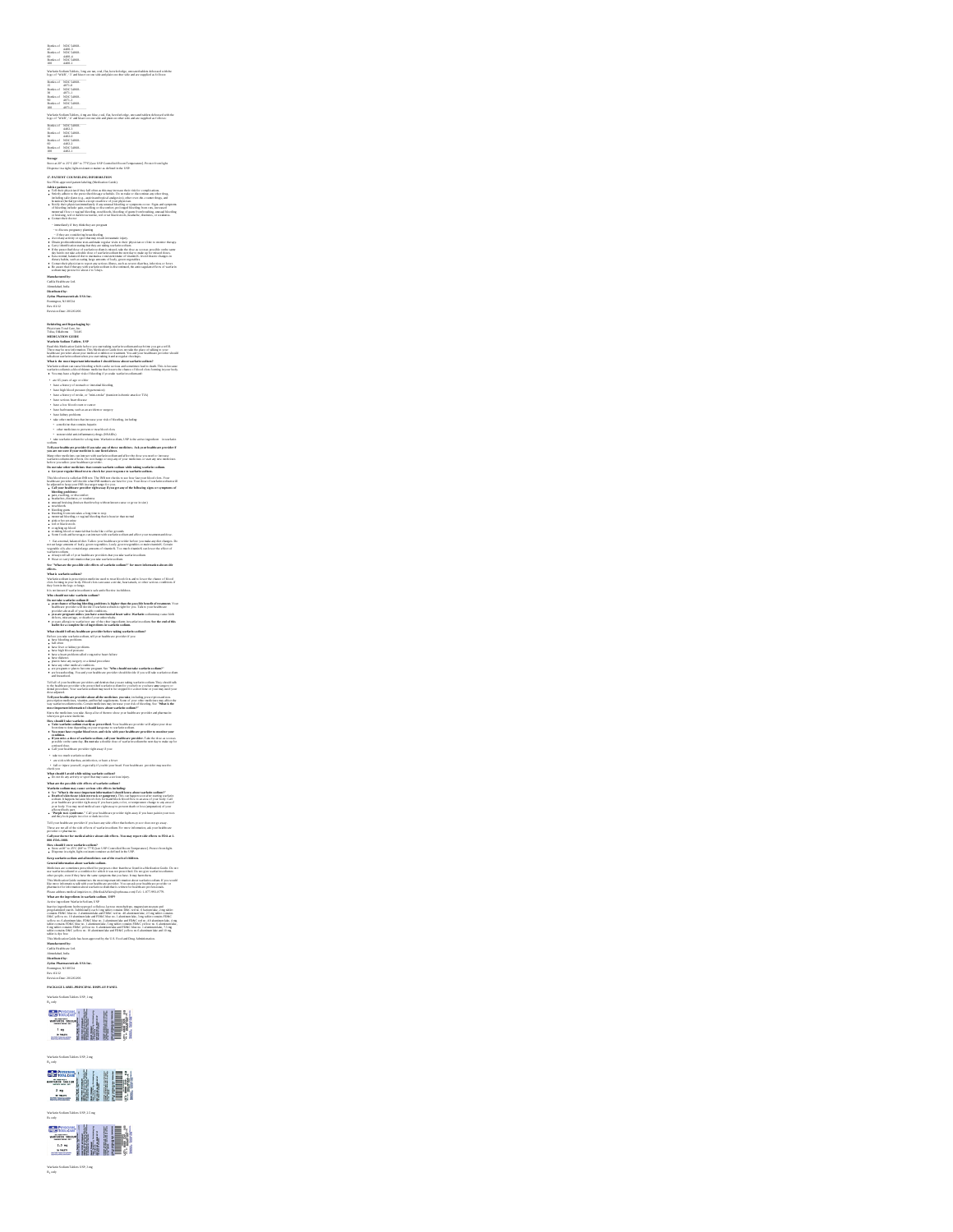wal, flat, beveled edge, uncoated tablets debossed with th

indeed to the Soliton<br>Bander of the Soliton Control of the Soliton Control of the Soliton Control of the Soliton<br>Bander of the Soliton Control of the Soliton Control of the sympathing detection<br>Bander of the Soliton Contr

Warfarin Sodium Tablets,4 mg are blue, oval, flat, beveled edge, uncoated tablets debossed with the logo of'WAR', '4' and bisect on one side and plain on other side and are supplied as follows:

Bottles of 15 NDC 54868-<br>Bottles of 30 NDC 54868-<br>30 Nottles of 15 NDC 54868-<br>60 NDC 54868- 4402-2<br>Bottles of 1002-1<br>Bottles of 1002-1

 $\begin{minipage}[t]{0.9\textwidth}\begin{minipage}[t]{0.9\textwidth}\begin{minipage}[t]{0.9\textwidth}\begin{minipage}[t]{0.9\textwidth}\begin{minipage}[t]{0.9\textwidth}\begin{minipage}[t]{0.9\textwidth}\begin{minipage}[t]{0.9\textwidth}\begin{minipage}[t]{0.9\textwidth}\begin{minipage}[t]{0.9\textwidth}\begin{minipage}[t]{0.9\textwidth}\begin{minipage}[t]{0.9\textwidth}\begin{minipage}[t]{0.9\textwidth}\begin{minipage}[t]{0.9\textwidth}\begin{minipage}[t]{0.9\textwidth}\begin{minipage}[t]{0$ 

Bookshope of the particular<br>the first control of the control of the control of the control of the<br>space of the control of the control of the control of the control of<br>the control of the control of the control of the contr

, the interesting function of the spin state of the spin state and the spin state of the spin state of the spin state of the spin state of the spin state of the spin state of the spin state of the spin state of the spin s

provider about all of your health conditions. **you are pregnant unless you have a mechanical heart valve. Warfarin** sodium maycause birth defects, miscarriage, or death ofyour unborn baby. you are allergic to warfarin orany ofthe other ingredients in warfarin sodium. **See the end of this leaflet for a complete list of ingredients in warfarin sodium. What should I tellmy healthcare provider before taking warfarin sodium?** Before you take warfarin sodium, tell your healthcare provider if you: have bleeding problems fall often have liver or kidney problems have high blood pressure have a heart problem called congestive heart failure have diabetes plan to have any surgery ora dental procedure have any other medical conditions are pregnant or plan to become pregnant. See "**Who should nottake warfarin sodium?"** are breastfeeding. You and your healthcare provider should decide ifyou will take warfarin sodium and breastfeed. Tell all of your healthcare providers and dentists that you are taking warfarin sodium. They should talk to the healthcare provider who prescribed warfarin sodium for you before you have **any** surgery ordental procedure. Your warfarin sodium may need to be stopped for <sup>a</sup> short time or your may need your dose adjusted. **Tell your healthcare provider about all the medicines you take**, including prescription and non- prescription medicines, vitamins, and herbal supplements. Some ofyour other medicines may affect the way warfarin sodium works. Certain medicines may increase your risk ofbleeding. See "**What is the most important information I should know aboutwarfarin sodium?"** Know the medicines you take. Keep a listof them to show your healthcare provider and pharmacist when you geta new medicine. **How should I take warfarin sodium? Take warfarin sodium exactly as pres cribed.** Your healthcare provider will adjust your dose from time to time depending on your response to warfarin sodium. **You must have regular blood tests and visits with your healthcare provider to monitor your condition. If you miss <sup>a</sup> dos <sup>e</sup> of warfarin sodium**, **call your healthcare provider.** Take the dose as soon aspossible on the same day. **Do not** take <sup>a</sup> double dose of warfarin sodium the next day to make up fora missed dose. Call your healthcare provider right away ifyou: • take too much warfarin sodium • are sick with diarrhea, an infection, or have a fever • fall or injure yourself, especially ifyou hit your head. Your healthcare provider may need to check you **What should I avoid while taking warfarin sodium?** Do notdo any activity orsport that may cause a serious injury. **What are the possible side effects of warfarin sodium? Warfarin sodium may caus e serious side effects including:** See "**What is the most important information I should know aboutwarfarin sodium?" Death of skin tissue (skin necrosis or gangrene).** This can happen soon after starting warfarin sodium. It happens because blood clots form and block blood flow to an area ofyour body. Call your healthcare provider right away ifyou have pain, color, or temperature change to any area of your body. You may need medical care right away to prevent death orloss (amputation) of your affected body part. **"Purple toes syndrome."** Callyour healthcare provider right away if you have pain in your toes and they look purple in color or dark in color. Tell your healthcare provider if you have any side effect that bothers you ordoes not go away. These are notall of the side effects of warfarin sodium. For more information, ask your healthcare

produce a physicial state and and about the first line and paper calculates in The and the state of the state of the state of the state of the state of the state of the state of the state of the state of the state of the

 $\frac{\sum_{i=1}^{n} \sum_{j=1}^{n} \sum_{j=1}^{n} \sum_{j=1}^{n} \sum_{j=1}^{n} \sum_{j=1}^{n} \sum_{j=1}^{n} \sum_{j=1}^{n} \sum_{j=1}^{n} \sum_{j=1}^{n} \sum_{j=1}^{n} \sum_{j=1}^{n} \sum_{j=1}^{n} \sum_{j=1}^{n} \sum_{j=1}^{n} \sum_{j=1}^{n} \sum_{j=1}^{n} \sum_{j=1}^{n} \sum_{j=1}^{n} \sum_{j=1}^{n} \sum_{j=1}^{n} \sum_{j=1}^{$ 

R<sub>2</sub> only

Warfarin Sodium Tablets USP, 2 mg<br>R<sub>a</sub> only

Warfarin Sodium Tablets USP, 2.5 mg<br>R<sub>a</sub> only

Warfarin Sodium Tablets USP, 3 mg<br>R<sub>a</sub> only